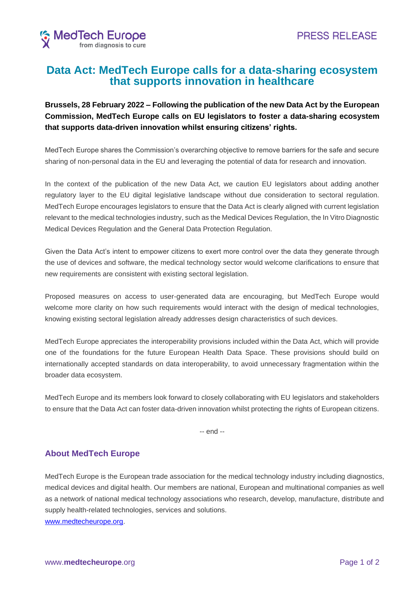

## **Data Act: MedTech Europe calls for a data-sharing ecosystem that supports innovation in healthcare**

## **Brussels, 28 February 2022 – Following the publication of the new Data Act by the European Commission, MedTech Europe calls on EU legislators to foster a data-sharing ecosystem that supports data-driven innovation whilst ensuring citizens' rights.**

MedTech Europe shares the Commission's overarching objective to remove barriers for the safe and secure sharing of non-personal data in the EU and leveraging the potential of data for research and innovation.

In the context of the publication of the new Data Act, we caution EU legislators about adding another regulatory layer to the EU digital legislative landscape without due consideration to sectoral regulation. MedTech Europe encourages legislators to ensure that the Data Act is clearly aligned with current legislation relevant to the medical technologies industry, such as the Medical Devices Regulation, the In Vitro Diagnostic Medical Devices Regulation and the General Data Protection Regulation.

Given the Data Act's intent to empower citizens to exert more control over the data they generate through the use of devices and software, the medical technology sector would welcome clarifications to ensure that new requirements are consistent with existing sectoral legislation.

Proposed measures on access to user-generated data are encouraging, but MedTech Europe would welcome more clarity on how such requirements would interact with the design of medical technologies, knowing existing sectoral legislation already addresses design characteristics of such devices.

MedTech Europe appreciates the interoperability provisions included within the Data Act, which will provide one of the foundations for the future European Health Data Space. These provisions should build on internationally accepted standards on data interoperability, to avoid unnecessary fragmentation within the broader data ecosystem.

MedTech Europe and its members look forward to closely collaborating with EU legislators and stakeholders to ensure that the Data Act can foster data-driven innovation whilst protecting the rights of European citizens.

-- end --

## **About MedTech Europe**

MedTech Europe is the European trade association for the medical technology industry including diagnostics, medical devices and digital health. Our members are national, European and multinational companies as well as a network of national medical technology associations who research, develop, manufacture, distribute and supply health-related technologies, services and solutions. [www.medtecheurope.org.](http://www.medtecheurope.org/)